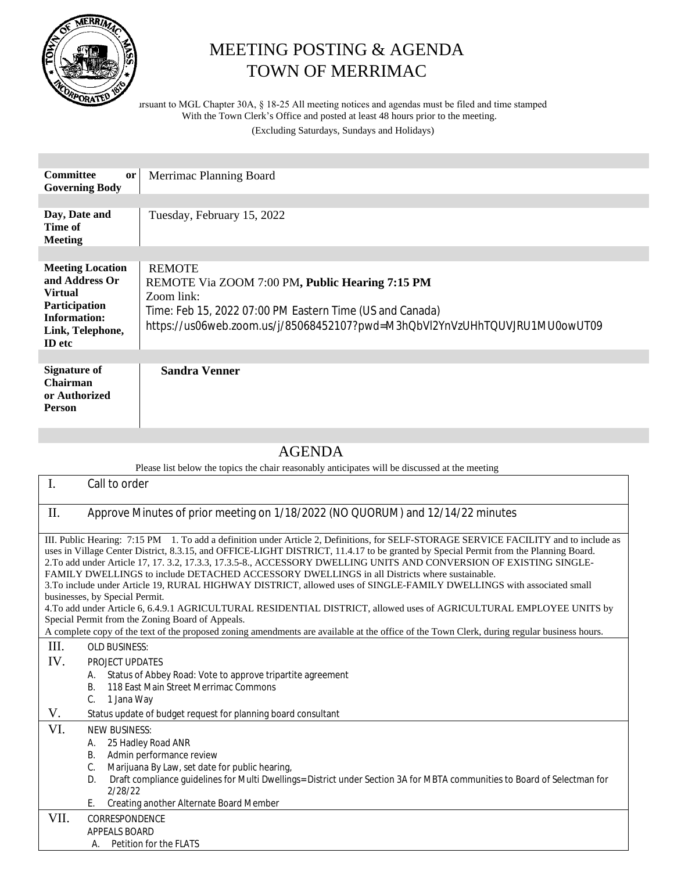

## MEETING POSTING & AGENDA TOWN OF MERRIMAC

Pursuant to MGL Chapter 30A, § 18-25 All meeting notices and agendas must be filed and time stamped With the Town Clerk's Office and posted at least 48 hours prior to the meeting.

(Excluding Saturdays, Sundays and Holidays)

| <b>Committee</b><br><b>or</b><br><b>Governing Body</b>                                                                            | Merrimac Planning Board                                                                                                                                                                                                  |
|-----------------------------------------------------------------------------------------------------------------------------------|--------------------------------------------------------------------------------------------------------------------------------------------------------------------------------------------------------------------------|
|                                                                                                                                   |                                                                                                                                                                                                                          |
| Day, Date and<br>Time of<br><b>Meeting</b>                                                                                        | Tuesday, February 15, 2022                                                                                                                                                                                               |
|                                                                                                                                   |                                                                                                                                                                                                                          |
| <b>Meeting Location</b><br>and Address Or<br><b>Virtual</b><br>Participation<br>Information:<br>Link, Telephone,<br><b>ID</b> etc | <b>REMOTE</b><br>REMOTE Via ZOOM 7:00 PM, Public Hearing 7:15 PM<br>Zoom link:<br>Time: Feb 15, 2022 07:00 PM Eastern Time (US and Canada)<br>https://us06web.zoom.us/j/85068452107?pwd=M3hQbVl2YnVzUHhTQUVJRU1MU0owUT09 |
|                                                                                                                                   |                                                                                                                                                                                                                          |
| <b>Signature of</b><br>Chairman<br>or Authorized<br><b>Person</b>                                                                 | <b>Sandra Venner</b>                                                                                                                                                                                                     |

## AGENDA

Please list below the topics the chair reasonably anticipates will be discussed at the meeting

| $\mathbf{I}$ .                                                                                                                                                                                                                                                                                                                                                                                                                                                                                                                                                                                                                                                                                                                                                                                                                                                                                                                                                                           | Call to order                                                                                                                                                                                                                                                                                                                                    |  |
|------------------------------------------------------------------------------------------------------------------------------------------------------------------------------------------------------------------------------------------------------------------------------------------------------------------------------------------------------------------------------------------------------------------------------------------------------------------------------------------------------------------------------------------------------------------------------------------------------------------------------------------------------------------------------------------------------------------------------------------------------------------------------------------------------------------------------------------------------------------------------------------------------------------------------------------------------------------------------------------|--------------------------------------------------------------------------------------------------------------------------------------------------------------------------------------------------------------------------------------------------------------------------------------------------------------------------------------------------|--|
| П.                                                                                                                                                                                                                                                                                                                                                                                                                                                                                                                                                                                                                                                                                                                                                                                                                                                                                                                                                                                       | Approve Minutes of prior meeting on 1/18/2022 (NO QUORUM) and 12/14/22 minutes                                                                                                                                                                                                                                                                   |  |
| III. Public Hearing: 7:15 PM 1. To add a definition under Article 2, Definitions, for SELF-STORAGE SERVICE FACILITY and to include as<br>uses in Village Center District, 8.3.15, and OFFICE-LIGHT DISTRICT, 11.4.17 to be granted by Special Permit from the Planning Board.<br>2.To add under Article 17, 17, 3.2, 17.3.3, 17.3.5-8., ACCESSORY DWELLING UNITS AND CONVERSION OF EXISTING SINGLE-<br>FAMILY DWELLINGS to include DETACHED ACCESSORY DWELLINGS in all Districts where sustainable.<br>3.To include under Article 19, RURAL HIGHWAY DISTRICT, allowed uses of SINGLE-FAMILY DWELLINGS with associated small<br>businesses, by Special Permit.<br>4. To add under Article 6, 6.4.9.1 AGRICULTURAL RESIDENTIAL DISTRICT, allowed uses of AGRICULTURAL EMPLOYEE UNITS by<br>Special Permit from the Zoning Board of Appeals.<br>A complete copy of the text of the proposed zoning amendments are available at the office of the Town Clerk, during regular business hours. |                                                                                                                                                                                                                                                                                                                                                  |  |
| III.                                                                                                                                                                                                                                                                                                                                                                                                                                                                                                                                                                                                                                                                                                                                                                                                                                                                                                                                                                                     | <b>OLD BUSINESS:</b>                                                                                                                                                                                                                                                                                                                             |  |
| IV.                                                                                                                                                                                                                                                                                                                                                                                                                                                                                                                                                                                                                                                                                                                                                                                                                                                                                                                                                                                      | PROJECT UPDATES                                                                                                                                                                                                                                                                                                                                  |  |
|                                                                                                                                                                                                                                                                                                                                                                                                                                                                                                                                                                                                                                                                                                                                                                                                                                                                                                                                                                                          | Status of Abbey Road: Vote to approve tripartite agreement<br>Α.<br>118 East Main Street Merrimac Commons<br>В.<br>C.<br>1 Jana Way                                                                                                                                                                                                              |  |
| V.                                                                                                                                                                                                                                                                                                                                                                                                                                                                                                                                                                                                                                                                                                                                                                                                                                                                                                                                                                                       | Status update of budget request for planning board consultant                                                                                                                                                                                                                                                                                    |  |
| VI.                                                                                                                                                                                                                                                                                                                                                                                                                                                                                                                                                                                                                                                                                                                                                                                                                                                                                                                                                                                      | <b>NEW BUSINESS:</b><br>25 Hadley Road ANR<br>А.<br>Admin performance review<br><b>B.</b><br>C.<br>Marijuana By Law, set date for public hearing,<br>Draft compliance guidelines for Multi Dwellings= District under Section 3A for MBTA communities to Board of Selectman for<br>D.<br>2/28/22<br>Creating another Alternate Board Member<br>E. |  |
| VII.                                                                                                                                                                                                                                                                                                                                                                                                                                                                                                                                                                                                                                                                                                                                                                                                                                                                                                                                                                                     | CORRESPONDENCE<br>APPEALS BOARD<br>Petition for the FLATS<br>А.                                                                                                                                                                                                                                                                                  |  |